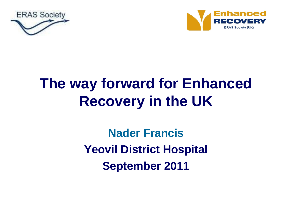



# **The way forward for Enhanced Recovery in the UK**

**Nader Francis Yeovil District Hospital September 2011**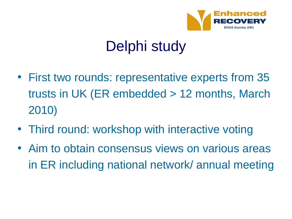

# Delphi study

- First two rounds: representative experts from 35 trusts in UK (ER embedded > 12 months, March 2010)
- Third round: workshop with interactive voting
- Aim to obtain consensus views on various areas in ER including national network/ annual meeting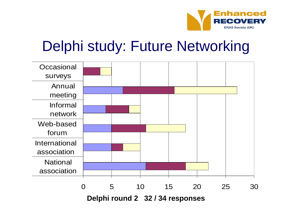

## Delphi study: Future Networking

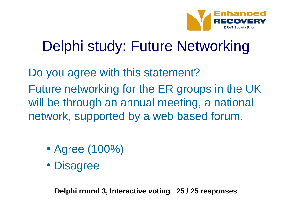

# Delphi study: Future Networking

Do you agree with this statement? Future networking for the ER groups in the UK will be through an annual meeting, a national

network, supported by a web based forum.

- Agree (100%)
- Disagree

**Delphi round 3, Interactive voting 25 / 25 responses**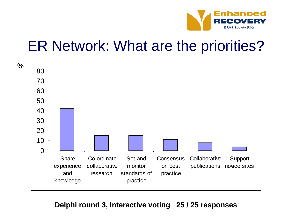

#### ER Network: What are the priorities?



#### **Delphi round 3, Interactive voting 25 / 25 responses**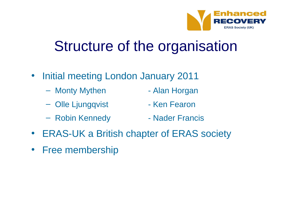

## Structure of the organisation

- Initial meeting London January 2011
	- Monty Mythen Alan Horgan
	- Olle Ljungqvist Ken Fearon
	- Robin Kennedy  **Nader Francis**
- ERAS-UK a British chapter of ERAS society
- Free membership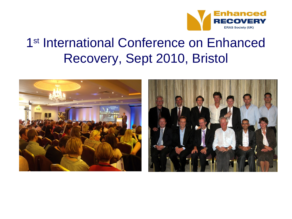

#### 1 st International Conference on Enhanced Recovery, Sept 2010, Bristol



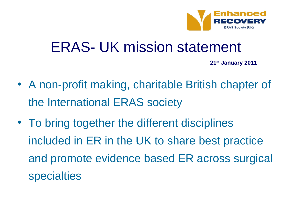

#### ERAS- UK mission statement

**21st January 2011**

- A non-profit making, charitable British chapter of the International ERAS society
- To bring together the different disciplines included in ER in the UK to share best practice and promote evidence based ER across surgical specialties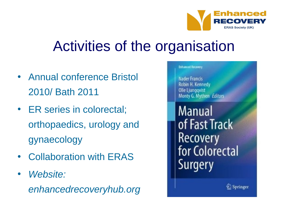

# Activities of the organisation

- Annual conference Bristol 2010/ Bath 2011
- ER series in colorectal; orthopaedics, urology and gynaecology
- Collaboration with ERAS
- *Website: enhancedrecoveryhub.org*